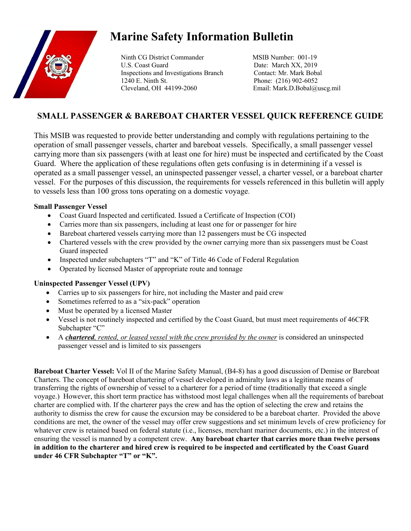

# **Marine Safety Information Bulletin**

Ninth CG District Commander MSIB Number: 001-19 U.S. Coast Guard Date: March XX, 2019 Inspections and Investigations Branch Contact: Mr. Mark Bobal 1240 E. Ninth St. Phone: (216) 902-6052 Cleveland, OH 44199-2060 Email: Mark.D.Bobal@uscg.mil

# **SMALL PASSENGER & BAREBOAT CHARTER VESSEL QUICK REFERENCE GUIDE**

This MSIB was requested to provide better understanding and comply with regulations pertaining to the operation of small passenger vessels, charter and bareboat vessels. Specifically, a small passenger vessel carrying more than six passengers (with at least one for hire) must be inspected and certificated by the Coast Guard. Where the application of these regulations often gets confusing is in determining if a vessel is operated as a small passenger vessel, an uninspected passenger vessel, a charter vessel, or a bareboat charter vessel. For the purposes of this discussion, the requirements for vessels referenced in this bulletin will apply to vessels less than 100 gross tons operating on a domestic voyage.

#### **Small Passenger Vessel**

- Coast Guard Inspected and certificated. Issued a Certificate of Inspection (COI)
- Carries more than six passengers, including at least one for or passenger for hire
- Bareboat chartered vessels carrying more than 12 passengers must be CG inspected
- Chartered vessels with the crew provided by the owner carrying more than six passengers must be Coast Guard inspected
- Inspected under subchapters "T" and "K" of Title 46 Code of Federal Regulation
- Operated by licensed Master of appropriate route and tonnage

## **Uninspected Passenger Vessel (UPV)**

- Carries up to six passengers for hire, not including the Master and paid crew
- Sometimes referred to as a "six-pack" operation
- Must be operated by a licensed Master
- Vessel is not routinely inspected and certified by the Coast Guard, but must meet requirements of 46CFR Subchapter "C"
- A *chartered, rented, or leased vessel with the crew provided by the owner* is considered an uninspected passenger vessel and is limited to six passengers

**Bareboat Charter Vessel:** Vol II of the Marine Safety Manual, (B4-8) has a good discussion of Demise or Bareboat Charters. The concept of bareboat chartering of vessel developed in admiralty laws as a legitimate means of transferring the rights of ownership of vessel to a charterer for a period of time (traditionally that exceed a single voyage.) However, this short term practice has withstood most legal challenges when all the requirements of bareboat charter are complied with. If the charterer pays the crew and has the option of selecting the crew and retains the authority to dismiss the crew for cause the excursion may be considered to be a bareboat charter. Provided the above conditions are met, the owner of the vessel may offer crew suggestions and set minimum levels of crew proficiency for whatever crew is retained based on federal statute (i.e., licenses, merchant mariner documents, etc.) in the interest of ensuring the vessel is manned by a competent crew. **Any bareboat charter that carries more than twelve persons in addition to the charterer and hired crew is required to be inspected and certificated by the Coast Guard under 46 CFR Subchapter "T" or "K".**